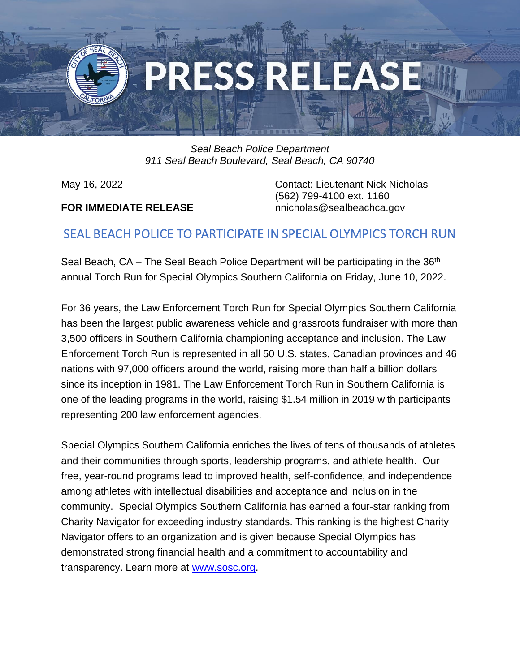

*Seal Beach Police Department 911 Seal Beach Boulevard, Seal Beach, CA 90740*

## **FOR IMMEDIATE RELEASE** nnicholas@sealbeachca.gov

May 16, 2022 Contact: Lieutenant Nick Nicholas (562) 799-4100 ext. 1160

## SEAL BEACH POLICE TO PARTICIPATE IN SPECIAL OLYMPICS TORCH RUN

Seal Beach, CA – The Seal Beach Police Department will be participating in the 36<sup>th</sup> annual Torch Run for Special Olympics Southern California on Friday, June 10, 2022.

For 36 years, the Law Enforcement Torch Run for Special Olympics Southern California has been the largest public awareness vehicle and grassroots fundraiser with more than 3,500 officers in Southern California championing acceptance and inclusion. The Law Enforcement Torch Run is represented in all 50 U.S. states, Canadian provinces and 46 nations with 97,000 officers around the world, raising more than half a billion dollars since its inception in 1981. The Law Enforcement Torch Run in Southern California is one of the leading programs in the world, raising \$1.54 million in 2019 with participants representing 200 law enforcement agencies.

Special Olympics Southern California enriches the lives of tens of thousands of athletes and their communities through sports, leadership programs, and athlete health. Our free, year-round programs lead to improved health, self-confidence, and independence among athletes with intellectual disabilities and acceptance and inclusion in the community. Special Olympics Southern California has earned a four-star ranking from Charity Navigator for exceeding industry standards. This ranking is the highest Charity Navigator offers to an organization and is given because Special Olympics has demonstrated strong financial health and a commitment to accountability and transparency. Learn more at [www.sosc.org.](http://www.sosc.org/)